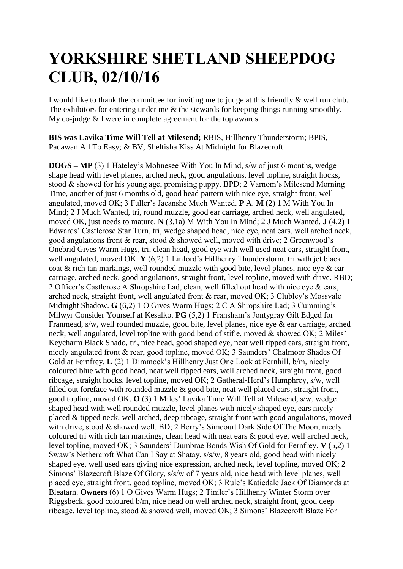## **YORKSHIRE SHETLAND SHEEPDOG CLUB, 02/10/16**

I would like to thank the committee for inviting me to judge at this friendly & well run club. The exhibitors for entering under me & the stewards for keeping things running smoothly. My co-judge & I were in complete agreement for the top awards.

**BIS was Lavika Time Will Tell at Milesend;** RBIS, Hillhenry Thunderstorm; BPIS, Padawan All To Easy; & BV, Sheltisha Kiss At Midnight for Blazecroft.

**DOGS – MP** (3) 1 Hateley's Mohnesee With You In Mind, s/w of just 6 months, wedge shape head with level planes, arched neck, good angulations, level topline, straight hocks, stood & showed for his young age, promising puppy. BPD; 2 Varnom's Milesend Morning Time, another of just 6 months old, good head pattern with nice eye, straight front, well angulated, moved OK; 3 Fuller's Jacanshe Much Wanted. **P** A. **M** (2) 1 M With You In Mind; 2 J Much Wanted, tri, round muzzle, good ear carriage, arched neck, well angulated, moved OK, just needs to mature. **N** (3,1a) M With You In Mind; 2 J Much Wanted. **J** (4,2) 1 Edwards' Castlerose Star Turn, tri, wedge shaped head, nice eye, neat ears, well arched neck, good angulations front & rear, stood & showed well, moved with drive; 2 Greenwood's Onebrid Gives Warm Hugs, tri, clean head, good eye with well used neat ears, straight front, well angulated, moved OK. **Y** (6,2) 1 Linford's Hillhenry Thunderstorm, tri with jet black coat & rich tan markings, well rounded muzzle with good bite, level planes, nice eye & ear carriage, arched neck, good angulations, straight front, level topline, moved with drive. RBD; 2 Officer's Castlerose A Shropshire Lad, clean, well filled out head with nice eye & ears, arched neck, straight front, well angulated front & rear, moved OK; 3 Clubley's Mossvale Midnight Shadow. **G** (6,2) 1 O Gives Warm Hugs; 2 C A Shropshire Lad; 3 Cumming's Milwyr Consider Yourself at Kesalko. **PG** (5,2) 1 Fransham's Jontygray Gilt Edged for Franmead, s/w, well rounded muzzle, good bite, level planes, nice eye & ear carriage, arched neck, well angulated, level topline with good bend of stifle, moved & showed OK; 2 Miles' Keycharm Black Shado, tri, nice head, good shaped eye, neat well tipped ears, straight front, nicely angulated front & rear, good topline, moved OK; 3 Saunders' Chalmoor Shades Of Gold at Fernfrey. **L** (2) 1 Dimmock's Hillhenry Just One Look at Fernhill, b/m, nicely coloured blue with good head, neat well tipped ears, well arched neck, straight front, good ribcage, straight hocks, level topline, moved OK; 2 Gatheral-Herd's Humphrey, s/w, well filled out foreface with rounded muzzle  $\&$  good bite, neat well placed ears, straight front, good topline, moved OK. **O** (3) 1 Miles' Lavika Time Will Tell at Milesend, s/w, wedge shaped head with well rounded muzzle, level planes with nicely shaped eye, ears nicely placed & tipped neck, well arched, deep ribcage, straight front with good angulations, moved with drive, stood & showed well. BD: 2 Berry's Simcourt Dark Side Of The Moon, nicely coloured tri with rich tan markings, clean head with neat ears & good eye, well arched neck, level topline, moved OK; 3 Saunders' Dumbrae Bonds Wish Of Gold for Fernfrey. **V** (5,2) 1 Swaw's Nethercroft What Can I Say at Shatay, s/s/w, 8 years old, good head with nicely shaped eye, well used ears giving nice expression, arched neck, level topline, moved OK; 2 Simons' Blazecroft Blaze Of Glory, s/s/w of 7 years old, nice head with level planes, well placed eye, straight front, good topline, moved OK; 3 Rule's Katiedale Jack Of Diamonds at Bleatarn. **Owners** (6) 1 O Gives Warm Hugs; 2 Tiniler's Hillhenry Winter Storm over Riggsbeck, good coloured b/m, nice head on well arched neck, straight front, good deep ribcage, level topline, stood & showed well, moved OK; 3 Simons' Blazecroft Blaze For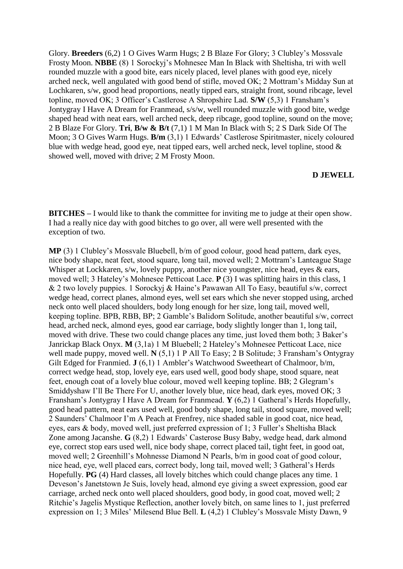Glory. **Breeders** (6,2) 1 O Gives Warm Hugs; 2 B Blaze For Glory; 3 Clubley's Mossvale Frosty Moon. **NBBE** (8) 1 Sorockyj's Mohnesee Man In Black with Sheltisha, tri with well rounded muzzle with a good bite, ears nicely placed, level planes with good eye, nicely arched neck, well angulated with good bend of stifle, moved OK; 2 Mottram's Midday Sun at Lochkaren, s/w, good head proportions, neatly tipped ears, straight front, sound ribcage, level topline, moved OK; 3 Officer's Castlerose A Shropshire Lad. **S/W** (5,3) 1 Fransham's Jontygray I Have A Dream for Franmead, s/s/w, well rounded muzzle with good bite, wedge shaped head with neat ears, well arched neck, deep ribcage, good topline, sound on the move; 2 B Blaze For Glory. **Tri**, **B/w & B/t** (7,1) 1 M Man In Black with S; 2 S Dark Side Of The Moon; 3 O Gives Warm Hugs. **B/m** (3,1) 1 Edwards' Castlerose Spiritmaster, nicely coloured blue with wedge head, good eye, neat tipped ears, well arched neck, level topline, stood & showed well, moved with drive; 2 M Frosty Moon.

## **D JEWELL**

**BITCHES** – I would like to thank the committee for inviting me to judge at their open show. I had a really nice day with good bitches to go over, all were well presented with the exception of two.

**MP** (3) 1 Clubley's Mossvale Bluebell, b/m of good colour, good head pattern, dark eyes, nice body shape, neat feet, stood square, long tail, moved well; 2 Mottram's Lanteague Stage Whisper at Lockkaren, s/w, lovely puppy, another nice youngster, nice head, eyes & ears, moved well; 3 Hateley's Mohnesee Petticoat Lace. **P** (3) I was splitting hairs in this class, 1 & 2 two lovely puppies. 1 Sorockyj & Haine's Pawawan All To Easy, beautiful s/w, correct wedge head, correct planes, almond eyes, well set ears which she never stopped using, arched neck onto well placed shoulders, body long enough for her size, long tail, moved well, keeping topline. BPB, RBB, BP; 2 Gamble's Balidorn Solitude, another beautiful s/w, correct head, arched neck, almond eyes, good ear carriage, body slightly longer than 1, long tail, moved with drive. These two could change places any time, just loved them both; 3 Baker's Janrickap Black Onyx. **M** (3,1a) 1 M Bluebell; 2 Hateley's Mohnesee Petticoat Lace, nice well made puppy, moved well. **N** (5,1) 1 P All To Easy; 2 B Solitude; 3 Fransham's Ontygray Gilt Edged for Franmied. **J** (6,1) 1 Ambler's Watchwood Sweetheart of Chalmoor, b/m, correct wedge head, stop, lovely eye, ears used well, good body shape, stood square, neat feet, enough coat of a lovely blue colour, moved well keeping topline. BB; 2 Glegram's Smiddyshaw I'll Be There For U, another lovely blue, nice head, dark eyes, moved OK; 3 Fransham's Jontygray I Have A Dream for Franmead. **Y** (6,2) 1 Gatheral's Herds Hopefully, good head pattern, neat ears used well, good body shape, long tail, stood square, moved well; 2 Saunders' Chalmoor I'm A Peach at Frenfrey, nice shaded sable in good coat, nice head, eyes, ears & body, moved well, just preferred expression of 1; 3 Fuller's Sheltisha Black Zone among Jacanshe. **G** (8,2) 1 Edwards' Casterose Busy Baby, wedge head, dark almond eye, correct stop ears used well, nice body shape, correct placed tail, tight feet, in good oat, moved well; 2 Greenhill's Mohnesse Diamond N Pearls, b/m in good coat of good colour, nice head, eye, well placed ears, correct body, long tail, moved well; 3 Gatheral's Herds Hopefully. **PG** (4) Hard classes, all lovely bitches which could change places any time. 1 Deveson's Janetstown Je Suis, lovely head, almond eye giving a sweet expression, good ear carriage, arched neck onto well placed shoulders, good body, in good coat, moved well; 2 Ritchie's Jagelis Mystique Reflection, another lovely bitch, on same lines to 1, just preferred expression on 1; 3 Miles' Milesend Blue Bell. **L** (4,2) 1 Clubley's Mossvale Misty Dawn, 9